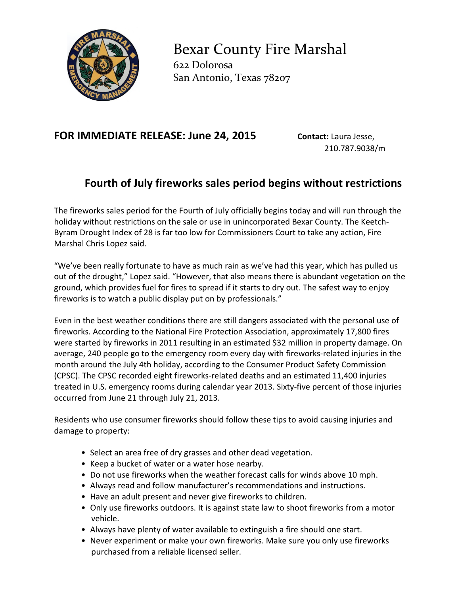

Bexar County Fire Marshal 622 Dolorosa San Antonio, Texas 78207

## **FOR IMMEDIATE RELEASE: June 24, 2015 Contact: Laura Jesse,**

210.787.9038/m

## **Fourth of July fireworks sales period begins without restrictions**

The fireworks sales period for the Fourth of July officially begins today and will run through the holiday without restrictions on the sale or use in unincorporated Bexar County. The Keetch-Byram Drought Index of 28 is far too low for Commissioners Court to take any action, Fire Marshal Chris Lopez said.

"We've been really fortunate to have as much rain as we've had this year, which has pulled us out of the drought," Lopez said. "However, that also means there is abundant vegetation on the ground, which provides fuel for fires to spread if it starts to dry out. The safest way to enjoy fireworks is to watch a public display put on by professionals."

Even in the best weather conditions there are still dangers associated with the personal use of fireworks. According to the National Fire Protection Association, approximately 17,800 fires were started by fireworks in 2011 resulting in an estimated \$32 million in property damage. On average, 240 people go to the emergency room every day with fireworks-related injuries in the month around the July 4th holiday, according to the Consumer Product Safety Commission (CPSC). The CPSC recorded eight fireworks-related deaths and an estimated 11,400 injuries treated in U.S. emergency rooms during calendar year 2013. Sixty-five percent of those injuries occurred from June 21 through July 21, 2013.

Residents who use consumer fireworks should follow these tips to avoid causing injuries and damage to property:

- Select an area free of dry grasses and other dead vegetation.
- Keep a bucket of water or a water hose nearby.
- Do not use fireworks when the weather forecast calls for winds above 10 mph.
- Always read and follow manufacturer's recommendations and instructions.
- Have an adult present and never give fireworks to children.
- Only use fireworks outdoors. It is against state law to shoot fireworks from a motor vehicle.
- Always have plenty of water available to extinguish a fire should one start.
- Never experiment or make your own fireworks. Make sure you only use fireworks purchased from a reliable licensed seller.